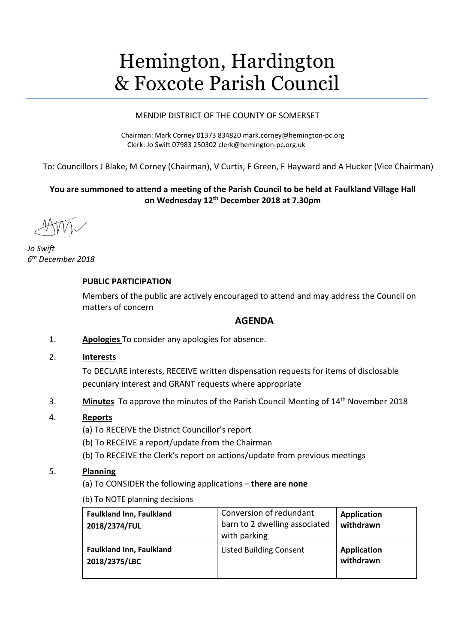# Hemington, Hardington & Foxcote Parish Council

# MENDIP DISTRICT OF THE COUNTY OF SOMERSET

Chairman: Mark Corney 01373 834820 [mark.corney@hemington-pc.org](mailto:mark.corney@hemington-pc.org) Clerk: Jo Swift 07983 250302 [clerk@hemington-pc.org.uk](mailto:clerk@hemington-pc.org.uk)

To: Councillors J Blake, M Corney (Chairman), V Curtis, F Green, F Hayward and A Hucker (Vice Chairman)

# **You are summoned to attend a meeting of the Parish Council to be held at Faulkland Village Hall on Wednesday 12 th December 2018 at 7.30pm**

*Jo Swift 6 th December 2018*

# **PUBLIC PARTICIPATION**

Members of the public are actively encouraged to attend and may address the Council on matters of concern

# **AGENDA**

- 1. **Apologies** To consider any apologies for absence.
- 2. **Interests**

To DECLARE interests, RECEIVE written dispensation requests for items of disclosable pecuniary interest and GRANT requests where appropriate

3. **Minutes** To approve the minutes of the Parish Council Meeting of 14<sup>th</sup> November 2018

# 4. **Reports**

- (a) To RECEIVE the District Councillor's report
- (b) To RECEIVE a report/update from the Chairman
- (b) To RECEIVE the Clerk's report on actions/update from previous meetings

# 5. **Planning**

- (a) To CONSIDER the following applications **there are none**
- (b) To NOTE planning decisions

| <b>Faulkland Inn, Faulkland</b><br>2018/2374/FUL | Conversion of redundant<br>barn to 2 dwelling associated<br>with parking | <b>Application</b><br>withdrawn |
|--------------------------------------------------|--------------------------------------------------------------------------|---------------------------------|
| <b>Faulkland Inn, Faulkland</b><br>2018/2375/LBC | <b>Listed Building Consent</b>                                           | <b>Application</b><br>withdrawn |